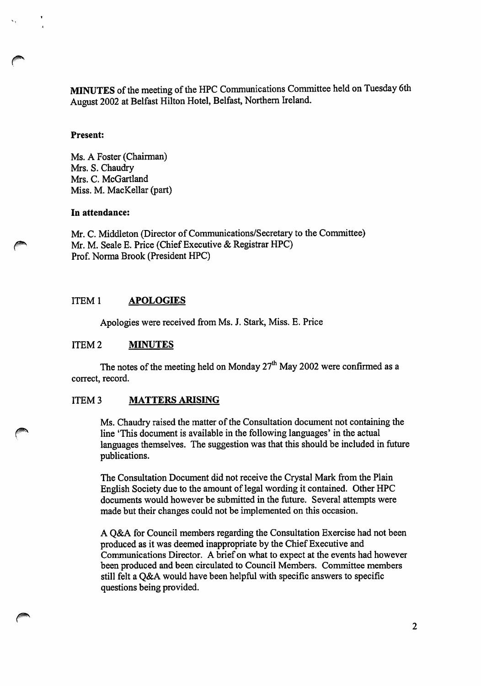MINUTES of the meeting of the HPC Communications Committee held on Tuesday 6th August 2002 at Belfast Hilton Hotel, Belfast, Northern Ireland.

### Present:

Ms. A Foster (Chairman) Mrs. S. Chaudry Mrs. C. McGartland Miss. M. MacKellar (part)

#### In attendance:

Mr. C. Middleton (Director of Communications/Secretary to the Committee) Mr. M. Seale E. Price (Chief Executive & Registrar HPC) Prof. Norma Brook (President HPC)

### ITEM 1 APOLOGIES

Apologies were received from Ms. J. Stark, Miss. E. Price

### ITEM 2 **MINUTES**

The notes of the meeting held on Monday  $27<sup>th</sup>$  May 2002 were confirmed as a correct, record.

# ITEM 3 MATTERS ARISING

Ms. Chaudry raised the matter of the Consultation document not containing the line 'This document is available in the following languages' in the actual languages themselves. The suggestion was that this should be included in future publications.

The Consultation Document did not receive the Crystal Mark from the Plain English Society due to the amount of legal wording it contained. Other HPC documents would however be submitted in the future. Several attempts were made but their changes could not be implemented on this occasion.

A Q&A for Council members regarding the Consultation Exercise had not been produced as it was deemed inappropriate by the Chief Executive and Communications Director. A brief on what to expect at the events had however been produced and been circulated to Council Members. Committee members still felt a Q&A would have been helpful with specific answers to specific questions being provided.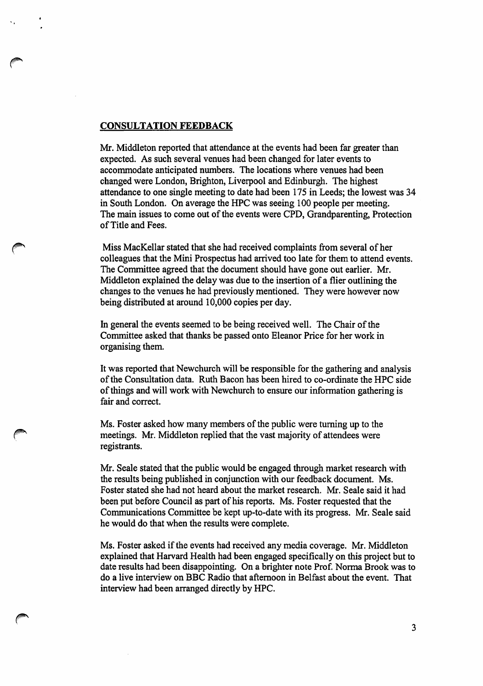### CONSULTATION FEEDBACK

 $\bullet$ 

Mr. Middleton reported that attendance at the events had been far greater than expected. As such several venues had been changed for later events to accommodate anticipated numbers. The locations where venues had been changed were London, Brighton, Liverpool and Edinburgh. The highest attendance to one single meeting to date had been 175 in Leeds; the lowest was 34 in South London. On average the HPC was seeing 100 people per meeting. The main issues to come out of the events were CPD, Grandparenting, Protection of Title and Fees.

Miss MacKellar stated that she had received complaints from several of her colleagues that the Mini Prospectus had arrived too late for them to attend events. The Committee agreed that the document should have gone out earlier. Mr. Middleton explained the delay was due to the insertion of a flier outlining the changes to the venues he had previously mentioned. They were however now being distributed at around 10,000 copies per day.

In general the events seemed to be being received well. The Chair of the Committee asked that thanks be passed onto Eleanor Price for her work in organising them.

It was reported that Newchurch will be responsible for the gathering and analysis of the Consultation data. Ruth Bacon has been hired to co-ordinate the HPC side of things and will work with Newchurch to ensure our information gathering is fair and correct.

Ms. Foster asked how many members of the public were turning up to the meetings. Mr. Middleton replied that the vast majority of attendees were registrants.

Mr. Seale stated that the public would be engaged through market research with the results being published in conjunction with our feedback document. Ms. Foster stated she had not heard about the market research. Mr. Seale said it had been put before Council as part of his reports. Ms. Foster requested that the Communications Committee be kept up-to-date with its progress. Mr. Seale said he would do that when the results were complete.

Ms. Foster asked if the events had received any media coverage. Mr. Middleton explained that Harvard Health had been engaged specifically on this project but to date results had been disappointing. On a brighter note Prof. Norma Brook was to do a live interview on BBC Radio that afternoon in Belfast about the event. That interview had been arranged directly by HPC.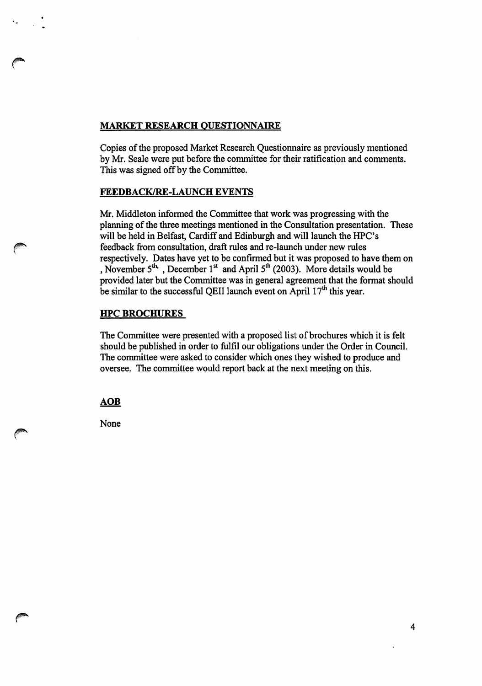# MARKET RESEARCH QUESTIONNAIRE

Copies of the proposed Market Research Questionnaire as previously mentioned by Mr. Seale were put before the committee for their ratification and comments. This was signed off by the Committee.

# FEEDBACK/RE-LAUNCH EVENTS

Mr. Middleton informed the Committee that work was progressing with the planning of the three meetings mentioned in the Consultation presentation. These will be held in Belfast, Cardiff and Edinburgh and will launch the HPC's feedback from consultation, draft rules and re-launch under new rules respectively. Dates have yet to be confirmed but it was proposed to have them on , November  $5<sup>th</sup>$ , December 1<sup>st</sup> and April  $5<sup>th</sup>$  (2003). More details would be provided later but the Committee was in general agreement that the format should be similar to the successful QEII launch event on  $\widetilde{A}$ pril  $17<sup>th</sup>$  this year.

# HPC BROCHURES

The Committee were presented with a proposed list of brochures which it is felt should be published in order to fulfil our obligations under the Order in Council. The committee were asked to consider which ones they wished to produce and oversee. The committee would report back at the next meeting on this.

**AOB** 

None